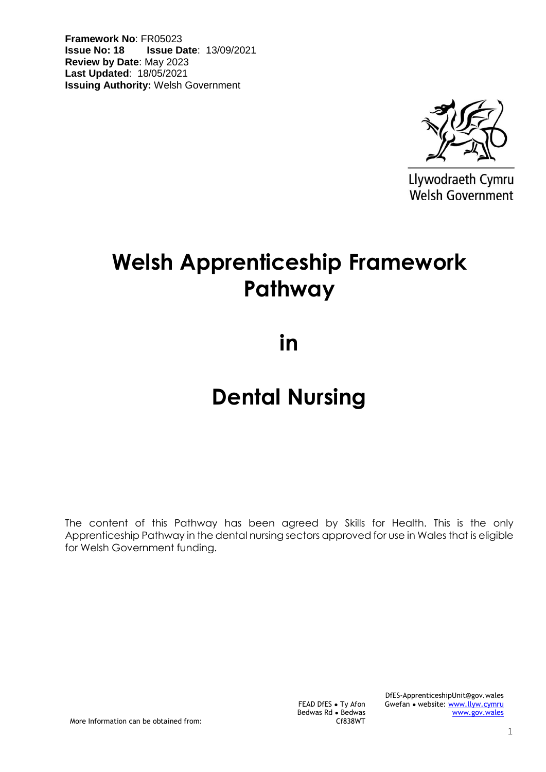**Framework No**: FR05023 **Issue No: 18 Issue Date**: 13/09/2021 **Review by Date**: May 2023 **Last Updated**: 18/05/2021 **Issuing Authority:** Welsh Government



Llywodraeth Cymru Welsh Government

# **Welsh Apprenticeship Framework Pathway**

**in** 

# **Dental Nursing**

The content of this Pathway has been agreed by Skills for Health. This is the only Apprenticeship Pathway in the dental nursing sectors approved for use in Wales that is eligible for Welsh Government funding.

> FEAD DfES ● Ty Afon Bedwas Rd ● Bedwas

Cf838WT

DfES-ApprenticeshipUnit@gov.wales Gwefan • website: [www.llyw.cymru](http://www.llyw.cymru/) [www.gov.wales](http://www.gov.wales/)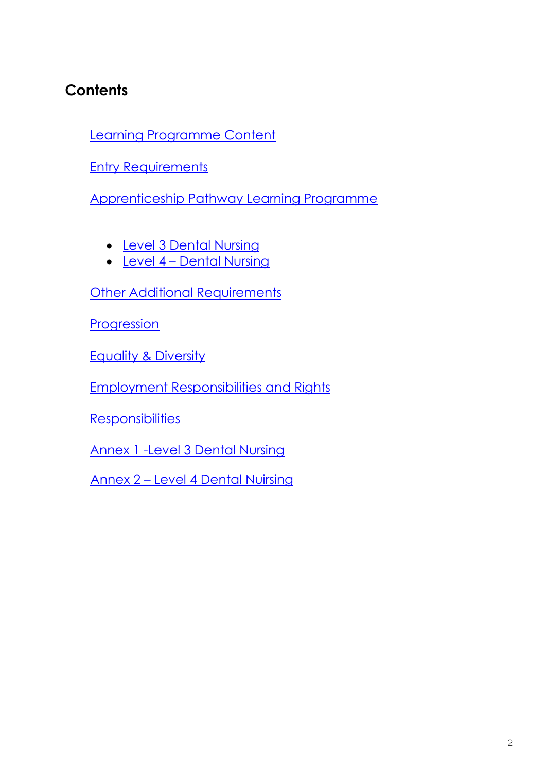# **Contents**

[Learning Programme Content](#page-2-0)

**[Entry Requirements](#page-2-1)** 

[Apprenticeship Pathway Learning Programme](#page-3-0)

- [Level 3](#page-3-1) Dental Nursing
- [Level 4](#page-3-1) Dental Nursing

**[Other Additional Requirements](#page-4-0)** 

**[Progression](#page-6-0)** 

Equality & Diversity

[Employment Responsibilities and Rights](#page-8-0)

**[Responsibilities](#page-8-1)** 

[Annex 1](#page-9-0) -Level 3 Dental Nursing

Annex 2 – Level 4 Dental Nuirsing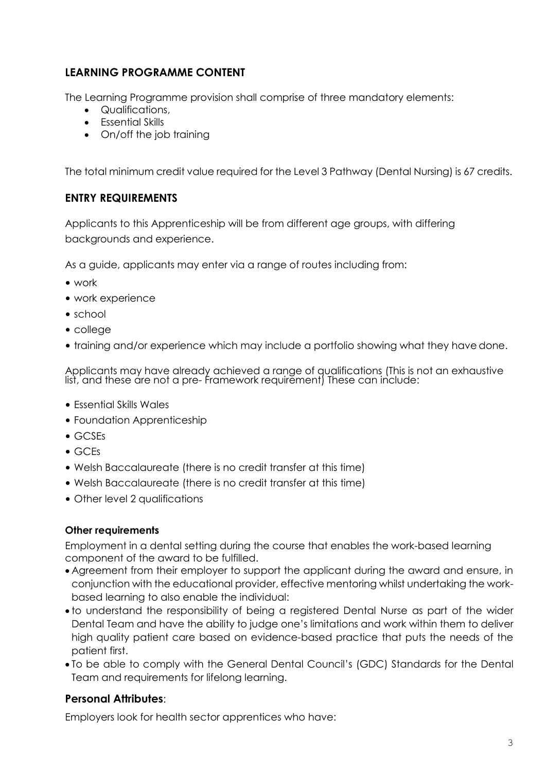# <span id="page-2-0"></span>**LEARNING PROGRAMME CONTENT**

The Learning Programme provision shall comprise of three mandatory elements:

- Qualifications,
- Essential Skills
- On/off the job training

<span id="page-2-1"></span>The total minimum credit value required for the Level 3 Pathway (Dental Nursing) is 67 credits.

# **ENTRY REQUIREMENTS**

Applicants to this Apprenticeship will be from different age groups, with differing backgrounds and experience.

As a guide, applicants may enter via a range of routes including from:

- work
- work experience
- school
- college
- training and/or experience which may include a portfolio showing what they have done.

Applicants may have already achieved a range of qualifications (This is not an exhaustive list, and these are not a pre- framework requirement) These can include:

- Essential Skills Wales
- Foundation Apprenticeship
- GCSEs
- GCEs
- Welsh Baccalaureate (there is no credit transfer at this time)
- Welsh Baccalaureate (there is no credit transfer at this time)
- Other level 2 qualifications

#### **Other requirements**

Employment in a dental setting during the course that enables the work-based learning component of the award to be fulfilled.

- Agreement from their employer to support the applicant during the award and ensure, in conjunction with the educational provider, effective mentoring whilst undertaking the workbased learning to also enable the individual:
- to understand the responsibility of being a registered Dental Nurse as part of the wider Dental Team and have the ability to judge one's limitations and work within them to deliver high quality patient care based on evidence-based practice that puts the needs of the patient first.
- To be able to comply with the General Dental Council's (GDC) Standards for the Dental Team and requirements for lifelong learning.

# **Personal Attributes**:

Employers look for health sector apprentices who have: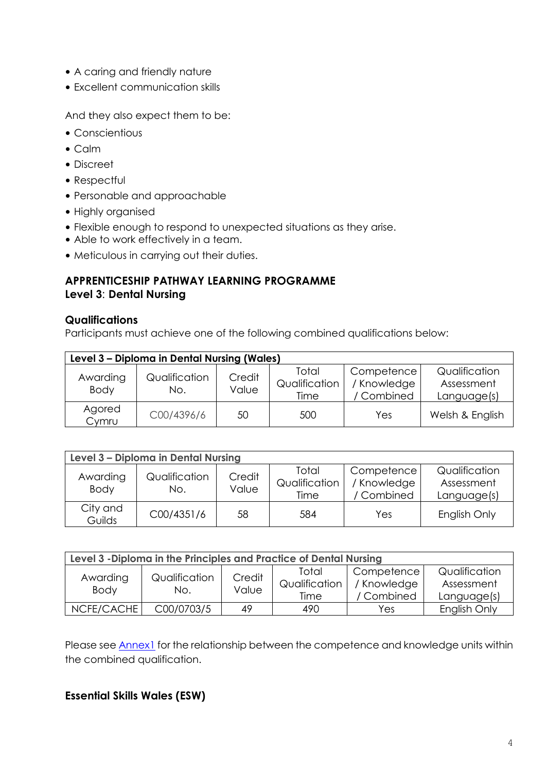- A caring and friendly nature
- Excellent communication skills

And they also expect them to be:

- Conscientious
- Calm
- Discreet
- Respectful
- Personable and approachable
- Highly organised
- Flexible enough to respond to unexpected situations as they arise.
- Able to work effectively in a team.
- Meticulous in carrying out their duties.

# <span id="page-3-1"></span><span id="page-3-0"></span>**APPRENTICESHIP PATHWAY LEARNING PROGRAMME Level 3**: **Dental Nursing**

#### **Qualifications**

Participants must achieve one of the following combined qualifications below:

| Level 3 - Diploma in Dental Nursing (Wales) |                      |                 |                                |                                         |                                            |
|---------------------------------------------|----------------------|-----------------|--------------------------------|-----------------------------------------|--------------------------------------------|
| Awarding<br><b>Body</b>                     | Qualification<br>No. | Credit<br>Value | Total<br>Qualification<br>Time | Competence<br>/ Knowledge<br>/ Combined | Qualification<br>Assessment<br>Language(s) |
| Agored<br>Cymru                             | C00/4396/6           | 50              | 500                            | Yes                                     | Welsh & English                            |

| Level 3 - Diploma in Dental Nursing |                      |                 |                                |                                         |                                            |
|-------------------------------------|----------------------|-----------------|--------------------------------|-----------------------------------------|--------------------------------------------|
| Awarding<br><b>Body</b>             | Qualification<br>No. | Credit<br>Value | Total<br>Qualification<br>Time | Competence<br>/ Knowledge<br>' Combined | Qualification<br>Assessment<br>Language(s) |
| City and<br>Guilds                  | C00/4351/6           | 58              | 584                            | Yes                                     | English Only                               |

| Level 3 - Diploma in the Principles and Practice of Dental Nursing |                      |                 |                                |                                         |                                            |
|--------------------------------------------------------------------|----------------------|-----------------|--------------------------------|-----------------------------------------|--------------------------------------------|
| Awarding<br><b>Body</b>                                            | Qualification<br>No. | Credit<br>Value | Total<br>Qualification<br>Time | Competence<br>/ Knowledge<br>/ Combined | Qualification<br>Assessment<br>Language(s) |
| NCFE/CACHE                                                         | C00/0703/5           | 49              | 490                            | Yes                                     | English Only                               |

Please see **Annex1** for the relationship between the competence and knowledge units within the combined qualification.

# **Essential Skills Wales (ESW)**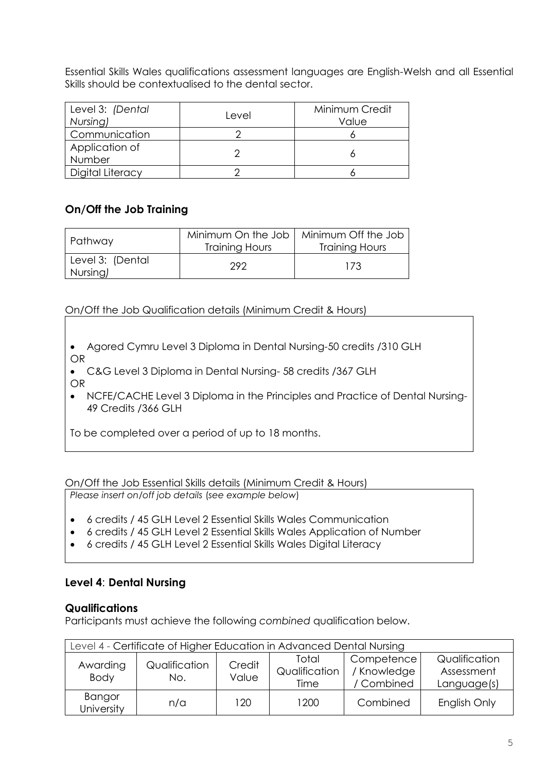Essential Skills Wales qualifications assessment languages are English-Welsh and all Essential Skills should be contextualised to the dental sector.

| Level 3: (Dental<br>Nursing) | Level | Minimum Credit<br>Value |
|------------------------------|-------|-------------------------|
| Communication                |       |                         |
| Application of<br>Number     |       |                         |
| Digital Literacy             |       |                         |

# **On/Off the Job Training**

| Pathway                      | Minimum On the Job<br><b>Training Hours</b> | Minimum Off the Job<br><b>Training Hours</b> |  |
|------------------------------|---------------------------------------------|----------------------------------------------|--|
| Level 3: (Dental<br>Nursing) | 292                                         | 173                                          |  |

#### On/Off the Job Qualification details (Minimum Credit & Hours)

- Agored Cymru Level 3 Diploma in Dental Nursing-50 credits /310 GLH OR
- C&G Level 3 Diploma in Dental Nursing- 58 credits /367 GLH OR
- NCFE/CACHE Level 3 Diploma in the Principles and Practice of Dental Nursing-49 Credits /366 GLH

To be completed over a period of up to 18 months.

On/Off the Job Essential Skills details (Minimum Credit & Hours)

*Please insert on/off job details* (*see example below*)

- 6 credits / 45 GLH Level 2 Essential Skills Wales Communication
- 6 credits / 45 GLH Level 2 Essential Skills Wales Application of Number
- 6 credits / 45 GLH Level 2 Essential Skills Wales Digital Literacy

#### <span id="page-4-0"></span>**Level 4**: **Dental Nursing**

#### **Qualifications**

Participants must achieve the following *combined* qualification below.

| Level 4 - Certificate of Higher Education in Advanced Dental Nursing |                      |                 |                                |                                         |                                            |
|----------------------------------------------------------------------|----------------------|-----------------|--------------------------------|-----------------------------------------|--------------------------------------------|
| Awarding<br><b>Body</b>                                              | Qualification<br>No. | Credit<br>Value | Total<br>Qualification<br>Time | Competence<br>/ Knowledge<br>/ Combined | Qualification<br>Assessment<br>Language(s) |
| Bangor<br>University                                                 | n/a                  | 120             | 1200                           | Combined                                | English Only                               |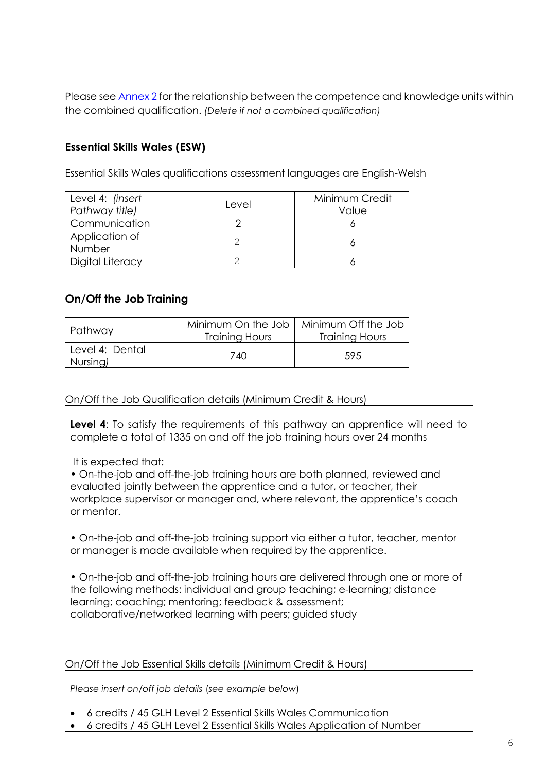Please see Annex 2 for the relationship between the competence and knowledge units within the combined qualification. *(Delete if not a combined qualification)*

# **Essential Skills Wales (ESW)**

Essential Skills Wales qualifications assessment languages are English-Welsh

| Level 4: (insert<br>Pathway title) | Level | Minimum Credit<br>Value |
|------------------------------------|-------|-------------------------|
| Communication                      |       |                         |
| Application of<br>Number           |       |                         |
| Digital Literacy                   |       |                         |

# **On/Off the Job Training**

| Pathway                     | Minimum On the Job<br>Training Hours | Minimum Off the Job<br>Training Hours |  |
|-----------------------------|--------------------------------------|---------------------------------------|--|
| Level 4: Dental<br>Nursing) | 740                                  | .59.5                                 |  |

On/Off the Job Qualification details (Minimum Credit & Hours)

**Level 4:** To satisfy the requirements of this pathway an apprentice will need to complete a total of 1335 on and off the job training hours over 24 months

It is expected that:

• On-the-job and off-the-job training hours are both planned, reviewed and evaluated jointly between the apprentice and a tutor, or teacher, their workplace supervisor or manager and, where relevant, the apprentice's coach or mentor.

• On-the-job and off-the-job training support via either a tutor, teacher, mentor or manager is made available when required by the apprentice.

• On-the-job and off-the-job training hours are delivered through one or more of the following methods: individual and group teaching; e-learning; distance learning; coaching; mentoring; feedback & assessment; collaborative/networked learning with peers; guided study

On/Off the Job Essential Skills details (Minimum Credit & Hours)

*Please insert on/off job details* (*see example below*)

- 6 credits / 45 GLH Level 2 Essential Skills Wales Communication
- 6 credits / 45 GLH Level 2 Essential Skills Wales Application of Number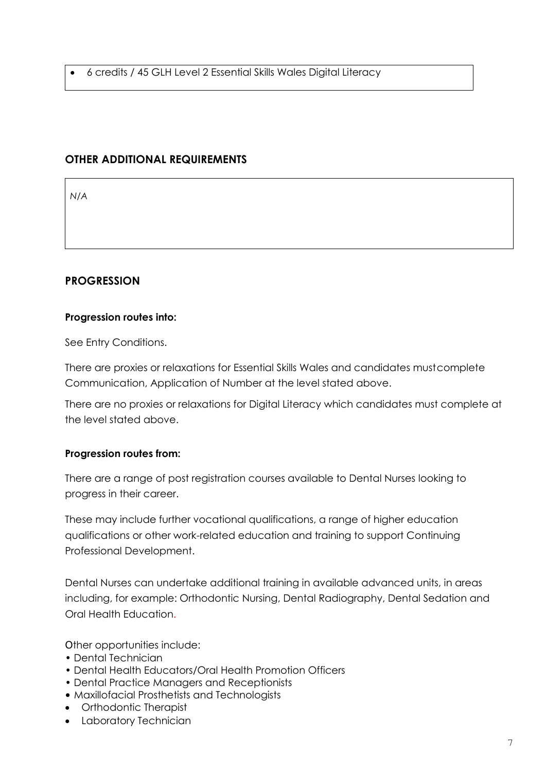6 credits / 45 GLH Level 2 Essential Skills Wales Digital Literacy

# **OTHER ADDITIONAL REQUIREMENTS**

*N/A*

# <span id="page-6-0"></span>**PROGRESSION**

#### **Progression routes into:**

See Entry Conditions.

There are proxies or relaxations for Essential Skills Wales and candidates mustcomplete Communication, Application of Number at the level stated above.

There are no proxies or relaxations for Digital Literacy which candidates must complete at the level stated above.

#### **Progression routes from:**

There are a range of post registration courses available to Dental Nurses looking to progress in their career.

These may include further vocational qualifications, a range of higher education qualifications or other work-related education and training to support Continuing Professional Development.

Dental Nurses can undertake additional training in available advanced units, in areas including, for example: Orthodontic Nursing, Dental Radiography, Dental Sedation and Oral Health Education.

Other opportunities include:

- Dental Technician
- Dental Health Educators/Oral Health Promotion Officers
- Dental Practice Managers and Receptionists
- Maxillofacial Prosthetists and Technologists
- Orthodontic Therapist
- Laboratory Technician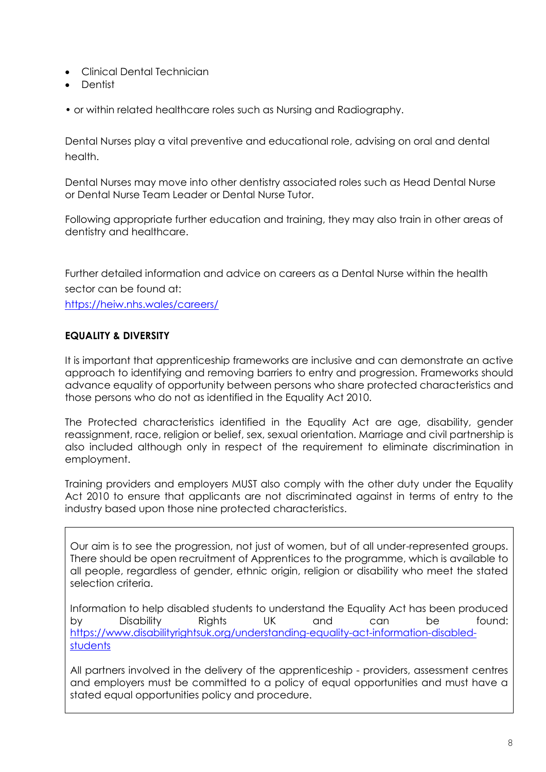- Clinical Dental Technician
- Dentist
- or within related healthcare roles such as Nursing and Radiography.

Dental Nurses play a vital preventive and educational role, advising on oral and dental health.

Dental Nurses may move into other dentistry associated roles such as Head Dental Nurse or Dental Nurse Team Leader or Dental Nurse Tutor.

Following appropriate further education and training, they may also train in other areas of dentistry and healthcare.

Further detailed information and advice on careers as a Dental Nurse within the health sector can be found at:

<https://heiw.nhs.wales/careers/>

#### **EQUALITY & DIVERSITY**

It is important that apprenticeship frameworks are inclusive and can demonstrate an active approach to identifying and removing barriers to entry and progression. Frameworks should advance equality of opportunity between persons who share protected characteristics and those persons who do not as identified in the Equality Act 2010.

The Protected characteristics identified in the Equality Act are age, disability, gender reassignment, race, religion or belief, sex, sexual orientation. Marriage and civil partnership is also included although only in respect of the requirement to eliminate discrimination in employment.

Training providers and employers MUST also comply with the other duty under the Equality Act 2010 to ensure that applicants are not discriminated against in terms of entry to the industry based upon those nine protected characteristics.

Our aim is to see the progression, not just of women, but of all under-represented groups. There should be open recruitment of Apprentices to the programme, which is available to all people, regardless of gender, ethnic origin, religion or disability who meet the stated selection criteria.

Information to help disabled students to understand the Equality Act has been produced by Disability Rights UK and can be found: [https://www.disabilityrightsuk.org/understanding-equality-act-information-disabled](https://www.disabilityrightsuk.org/understanding-equality-act-information-disabled-students)[students](https://www.disabilityrightsuk.org/understanding-equality-act-information-disabled-students)

All partners involved in the delivery of the apprenticeship - providers, assessment centres and employers must be committed to a policy of equal opportunities and must have a stated equal opportunities policy and procedure.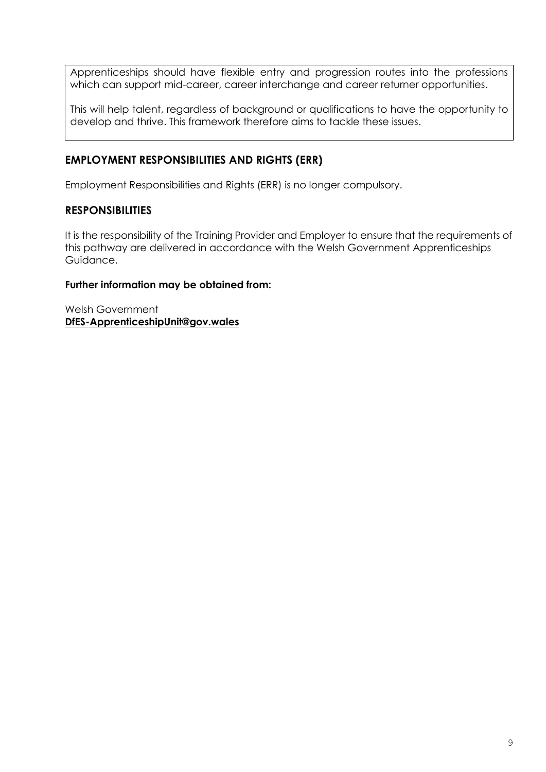Apprenticeships should have flexible entry and progression routes into the professions which can support mid-career, career interchange and career returner opportunities.

This will help talent, regardless of background or qualifications to have the opportunity to develop and thrive. This framework therefore aims to tackle these issues.

# <span id="page-8-0"></span>**[EMPLOYMENT RESPONSIBILITIES AND RIGHTS](#page-8-0) (ERR)**

Employment Responsibilities and Rights (ERR) is no longer compulsory.

#### <span id="page-8-1"></span>**RESPONSIBILITIES**

It is the responsibility of the Training Provider and Employer to ensure that the requirements of this pathway are delivered in accordance with the Welsh Government Apprenticeships Guidance.

#### **Further information may be obtained from:**

Welsh Government **[DfES-ApprenticeshipUnit@gov.wales](mailto:DfES-ApprenticeshipUnit@gov.wales)**